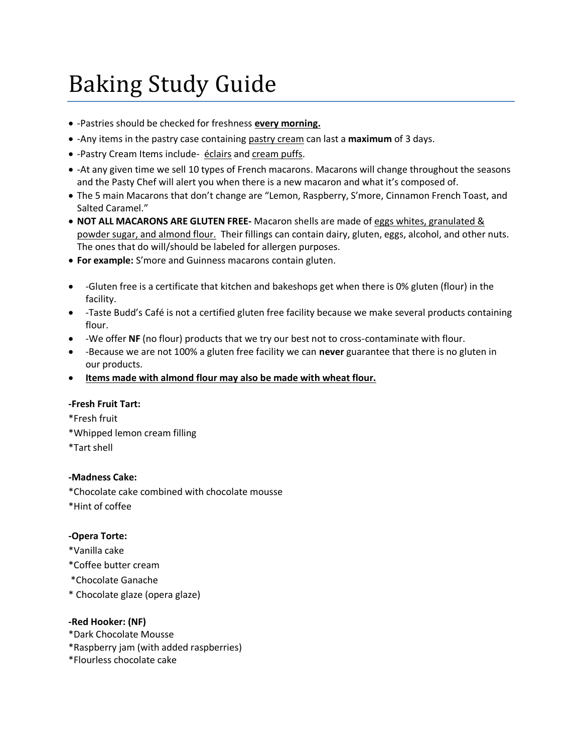# Baking Study Guide

- -Pastries should be checked for freshness **every morning.**
- -Any items in the pastry case containing pastry cream can last a **maximum** of 3 days.
- -Pastry Cream Items include- éclairs and cream puffs.
- -At any given time we sell 10 types of French macarons. Macarons will change throughout the seasons and the Pasty Chef will alert you when there is a new macaron and what it's composed of.
- The 5 main Macarons that don't change are "Lemon, Raspberry, S'more, Cinnamon French Toast, and Salted Caramel."
- **NOT ALL MACARONS ARE GLUTEN FREE-** Macaron shells are made of eggs whites, granulated & powder sugar, and almond flour. Their fillings can contain dairy, gluten, eggs, alcohol, and other nuts. The ones that do will/should be labeled for allergen purposes.
- **For example:** S'more and Guinness macarons contain gluten.
- -Gluten free is a certificate that kitchen and bakeshops get when there is 0% gluten (flour) in the facility.
- -Taste Budd's Café is not a certified gluten free facility because we make several products containing flour.
- -We offer **NF** (no flour) products that we try our best not to cross-contaminate with flour.
- -Because we are not 100% a gluten free facility we can **never** guarantee that there is no gluten in our products.
- **Items made with almond flour may also be made with wheat flour.**

# **-Fresh Fruit Tart:**

\*Fresh fruit \*Whipped lemon cream filling \*Tart shell

# **-Madness Cake:**

\*Chocolate cake combined with chocolate mousse \*Hint of coffee

# **-Opera Torte:**

- \*Vanilla cake
- \*Coffee butter cream
- \*Chocolate Ganache
- \* Chocolate glaze (opera glaze)

#### **-Red Hooker: (NF)**

- \*Dark Chocolate Mousse
- \*Raspberry jam (with added raspberries)
- \*Flourless chocolate cake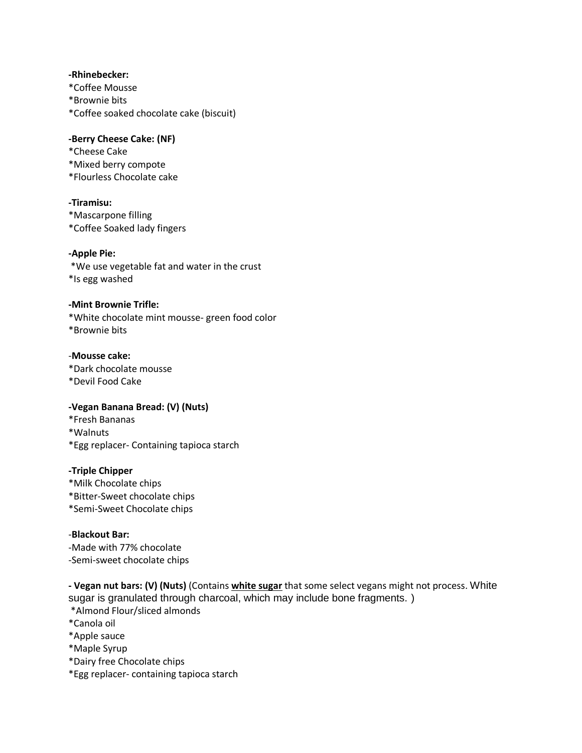# **-Rhinebecker:**

\*Coffee Mousse \*Brownie bits \*Coffee soaked chocolate cake (biscuit)

**-Berry Cheese Cake: (NF)** \*Cheese Cake \*Mixed berry compote \*Flourless Chocolate cake

# **-Tiramisu:**

\*Mascarpone filling \*Coffee Soaked lady fingers

# **-Apple Pie:**

\*We use vegetable fat and water in the crust \*Is egg washed

# **-Mint Brownie Trifle:**

\*White chocolate mint mousse- green food color \*Brownie bits

# -**Mousse cake:**

\*Dark chocolate mousse \*Devil Food Cake

# **-Vegan Banana Bread: (V) (Nuts)**

\*Fresh Bananas \*Walnuts \*Egg replacer- Containing tapioca starch

# **-Triple Chipper**

\*Milk Chocolate chips \*Bitter-Sweet chocolate chips \*Semi-Sweet Chocolate chips

# -**Blackout Bar:**

-Made with 77% chocolate -Semi-sweet chocolate chips

**- Vegan nut bars: (V) (Nuts)** (Contains **white sugar** that some select vegans might not process. White sugar is granulated through charcoal, which may include bone fragments. )

\*Almond Flour/sliced almonds

\*Canola oil

\*Apple sauce

\*Maple Syrup

\*Dairy free Chocolate chips

\*Egg replacer- containing tapioca starch